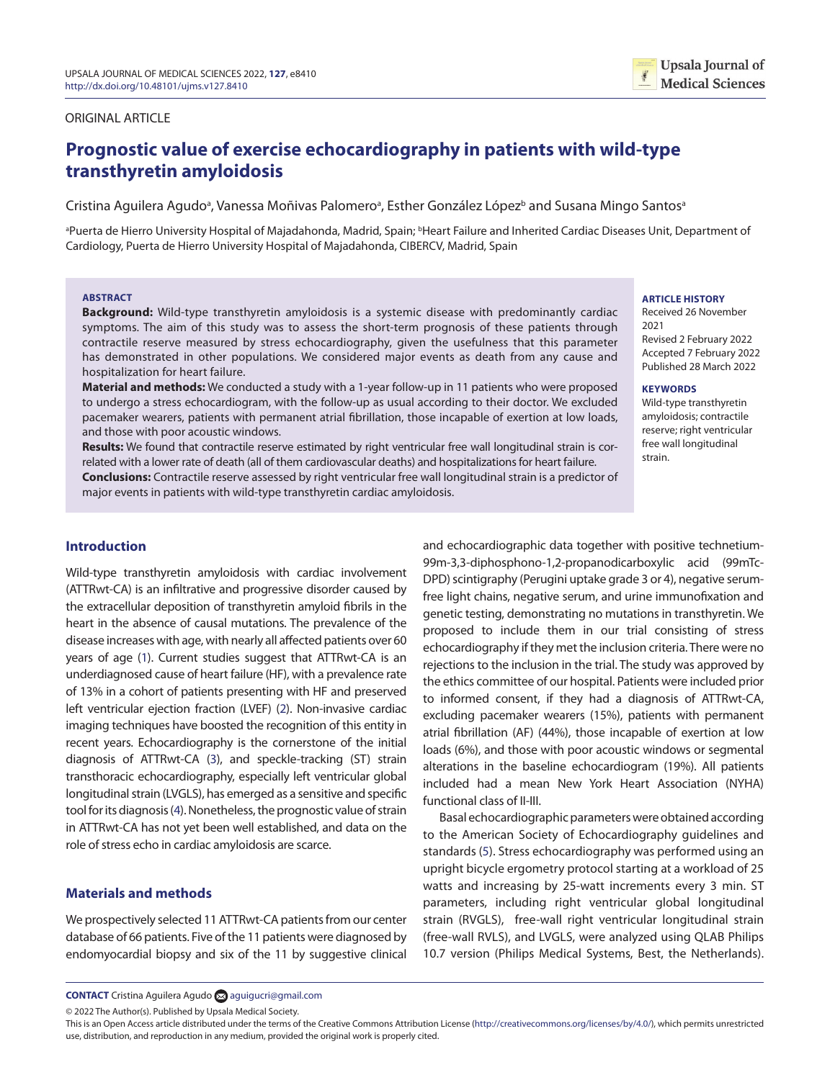# ORIGINAL ARTICLE

# **Prognostic value of exercise echocardiography in patients with wild-type transthyretin amyloidosis**

Cristina Aguilera Agudoª, Vanessa Moñivas Palomeroª, Esther González López<sup>b</sup> and Susana Mingo Santosª

<sup>a</sup>Puerta de Hierro University Hospital of Majadahonda, Madrid, Spain; <sup>ь</sup>Heart Failure and Inherited Cardiac Diseases Unit, Department of Cardiology, Puerta de Hierro University Hospital of Majadahonda, CIBERCV, Madrid, Spain

#### **ABSTRACT**

**Background:** Wild-type transthyretin amyloidosis is a systemic disease with predominantly cardiac symptoms. The aim of this study was to assess the short-term prognosis of these patients through contractile reserve measured by stress echocardiography, given the usefulness that this parameter has demonstrated in other populations. We considered major events as death from any cause and hospitalization for heart failure.

**Material and methods:** We conducted a study with a 1-year follow-up in 11 patients who were proposed to undergo a stress echocardiogram, with the follow-up as usual according to their doctor. We excluded pacemaker wearers, patients with permanent atrial fibrillation, those incapable of exertion at low loads, and those with poor acoustic windows.

**Results:** We found that contractile reserve estimated by right ventricular free wall longitudinal strain is correlated with a lower rate of death (all of them cardiovascular deaths) and hospitalizations for heart failure.

**Conclusions:** Contractile reserve assessed by right ventricular free wall longitudinal strain is a predictor of major events in patients with wild-type transthyretin cardiac amyloidosis.

# **Introduction**

<span id="page-0-0"></span>Wild-type transthyretin amyloidosis with cardiac involvement (ATTRwt-CA) is an infiltrative and progressive disorder caused by the extracellular deposition of transthyretin amyloid fibrils in the heart in the absence of causal mutations. The prevalence of the disease increases with age, with nearly all affected patients over 60 years of age ([1](#page-2-0)). Current studies suggest that ATTRwt-CA is an underdiagnosed cause of heart failure (HF), with a prevalence rate of 13% in a cohort of patients presenting with HF and preserved left ventricular ejection fraction (LVEF) [\(2](#page-2-1)). Non-invasive cardiac imaging techniques have boosted the recognition of this entity in recent years. Echocardiography is the cornerstone of the initial diagnosis of ATTRwt-CA [\(3](#page-2-2)), and speckle-tracking (ST) strain transthoracic echocardiography, especially left ventricular global longitudinal strain (LVGLS), has emerged as a sensitive and specific tool for its diagnosis ([4](#page-2-3)). Nonetheless, the prognostic value of strain in ATTRwt-CA has not yet been well established, and data on the role of stress echo in cardiac amyloidosis are scarce.

# <span id="page-0-3"></span><span id="page-0-2"></span>**Materials and methods**

We prospectively selected 11 ATTRwt-CA patients from our center database of 66 patients. Five of the 11 patients were diagnosed by endomyocardial biopsy and six of the 11 by suggestive clinical and echocardiographic data together with positive technetium-99m-3,3-diphosphono-1,2-propanodicarboxylic acid (99mTc-DPD) scintigraphy (Perugini uptake grade 3 or 4), negative serumfree light chains, negative serum, and urine immunofixation and genetic testing, demonstrating no mutations in transthyretin. We proposed to include them in our trial consisting of stress echocardiography if they met the inclusion criteria. There were no rejections to the inclusion in the trial. The study was approved by the ethics committee of our hospital. Patients were included prior to informed consent, if they had a diagnosis of ATTRwt-CA, excluding pacemaker wearers (15%), patients with permanent atrial fibrillation (AF) (44%), those incapable of exertion at low loads (6%), and those with poor acoustic windows or segmental alterations in the baseline echocardiogram (19%). All patients included had a mean New York Heart Association (NYHA) functional class of II-III.

<span id="page-0-4"></span><span id="page-0-1"></span>Basal echocardiographic parameters were obtained according to the American Society of Echocardiography guidelines and standards [\(5](#page-2-4)). Stress echocardiography was performed using an upright bicycle ergometry protocol starting at a workload of 25 watts and increasing by 25-watt increments every 3 min. ST parameters, including right ventricular global longitudinal strain (RVGLS), free-wall right ventricular longitudinal strain (free-wall RVLS), and LVGLS, were analyzed using QLAB Philips 10.7 version (Philips Medical Systems, Best, the Netherlands).

# **ARTICLE HISTORY**

Received 26 November 2021 Revised 2 February 2022 Accepted 7 February 2022 Published 28 March 2022

**Upsala Journal of Medical Sciences** 

#### **KEYWORDS**

Wild-type transthyretin amyloidosis; contractile reserve; right ventricular free wall longitudinal strain.

© 2022 The Author(s). Published by Upsala Medical Society.

**CONTACT** Cristina Aguilera Agudo [aguigucri@gmail.com](mailto:aguigucri@gmail.com)

This is an Open Access article distributed under the terms of the Creative Commons Attribution License (<http://creativecommons.org/licenses/by/4.0/>), which permits unrestricted use, distribution, and reproduction in any medium, provided the original work is properly cited.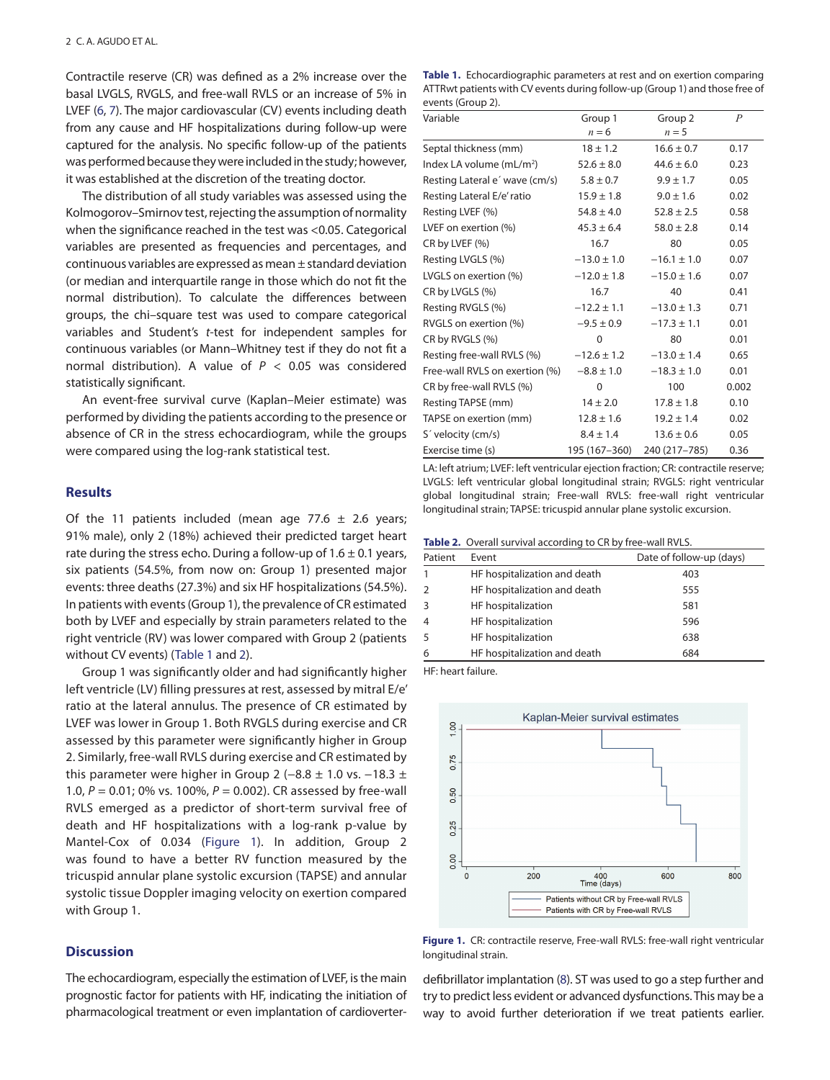<span id="page-1-7"></span><span id="page-1-6"></span>Contractile reserve (CR) was defined as a 2% increase over the basal LVGLS, RVGLS, and free-wall RVLS or an increase of 5% in LVEF [\(6](#page-2-5), [7](#page-2-6)). The major cardiovascular (CV) events including death from any cause and HF hospitalizations during follow-up were captured for the analysis. No specific follow-up of the patients was performed because they were included in the study; however, it was established at the discretion of the treating doctor.

The distribution of all study variables was assessed using the Kolmogorov–Smirnov test, rejecting the assumption of normality when the significance reached in the test was <0.05. Categorical variables are presented as frequencies and percentages, and continuous variables are expressed as mean ± standard deviation (or median and interquartile range in those which do not fit the normal distribution). To calculate the differences between groups, the chi–square test was used to compare categorical variables and Student's *t*-test for independent samples for continuous variables (or Mann–Whitney test if they do not fit a normal distribution). A value of *P* < 0.05 was considered statistically significant.

An event-free survival curve (Kaplan–Meier estimate) was performed by dividing the patients according to the presence or absence of CR in the stress echocardiogram, while the groups were compared using the log-rank statistical test.

## **Results**

Of the 11 patients included (mean age 77.6  $\pm$  2.6 years; 91% male), only 2 (18%) achieved their predicted target heart rate during the stress echo. During a follow-up of  $1.6 \pm 0.1$  years, six patients (54.5%, from now on: Group 1) presented major events: three deaths (27.3%) and six HF hospitalizations (54.5%). In patients with events (Group 1), the prevalence of CR estimated both by LVEF and especially by strain parameters related to the right ventricle (RV) was lower compared with Group 2 (patients without CV events) ([Table 1](#page-1-0) and [2\)](#page-1-1).

<span id="page-1-4"></span>Group 1 was significantly older and had significantly higher left ventricle (LV) filling pressures at rest, assessed by mitral E/e' ratio at the lateral annulus. The presence of CR estimated by LVEF was lower in Group 1. Both RVGLS during exercise and CR assessed by this parameter were significantly higher in Group 2. Similarly, free-wall RVLS during exercise and CR estimated by this parameter were higher in Group 2 ( $-8.8 \pm 1.0$  vs.  $-18.3 \pm 1.0$ 1.0, *P* = 0.01; 0% vs. 100%, *P* = 0.002). CR assessed by free-wall RVLS emerged as a predictor of short-term survival free of death and HF hospitalizations with a log-rank p-value by Mantel-Cox of 0.034 ([Figure 1\)](#page-1-2). In addition, Group 2 was found to have a better RV function measured by the tricuspid annular plane systolic excursion (TAPSE) and annular systolic tissue Doppler imaging velocity on exertion compared with Group 1.

# <span id="page-1-5"></span>**Discussion**

The echocardiogram, especially the estimation of LVEF, is the main prognostic factor for patients with HF, indicating the initiation of pharmacological treatment or even implantation of cardioverter-

<span id="page-1-0"></span>

| Table 1. Echocardiographic parameters at rest and on exertion comparing     |
|-----------------------------------------------------------------------------|
| ATTRwt patients with CV events during follow-up (Group 1) and those free of |
| events (Group 2).                                                           |

| Variable                       | Group 1         | Group <sub>2</sub> | $\overline{P}$ |
|--------------------------------|-----------------|--------------------|----------------|
|                                | $n = 6$         | $n=5$              |                |
| Septal thickness (mm)          | $18 \pm 1.2$    | $16.6 \pm 0.7$     | 0.17           |
| Index LA volume $(mL/m^2)$     | $52.6 \pm 8.0$  | $44.6 \pm 6.0$     | 0.23           |
| Resting Lateral e' wave (cm/s) | $5.8 \pm 0.7$   | $9.9 \pm 1.7$      | 0.05           |
| Resting Lateral E/e' ratio     | $15.9 \pm 1.8$  | $9.0 \pm 1.6$      | 0.02           |
| Resting LVEF (%)               | $54.8 \pm 4.0$  | $52.8 \pm 2.5$     | 0.58           |
| LVEF on exertion (%)           | $45.3 \pm 6.4$  | $58.0 \pm 2.8$     | 0.14           |
| CR by LVEF (%)                 | 16.7            | 80                 | 0.05           |
| Resting LVGLS (%)              | $-13.0 \pm 1.0$ | $-16.1 \pm 1.0$    | 0.07           |
| LVGLS on exertion (%)          | $-12.0 \pm 1.8$ | $-15.0 \pm 1.6$    | 0.07           |
| CR by LVGLS (%)                | 16.7            | 40                 | 0.41           |
| Resting RVGLS (%)              | $-12.2 \pm 1.1$ | $-13.0 \pm 1.3$    | 0.71           |
| RVGLS on exertion (%)          | $-9.5 \pm 0.9$  | $-17.3 \pm 1.1$    | 0.01           |
| CR by RVGLS (%)                | 0               | 80                 | 0.01           |
| Resting free-wall RVLS (%)     | $-12.6 \pm 1.2$ | $-13.0 \pm 1.4$    | 0.65           |
| Free-wall RVLS on exertion (%) | $-8.8 \pm 1.0$  | $-18.3 \pm 1.0$    | 0.01           |
| CR by free-wall RVLS (%)       | 0               | 100                | 0.002          |
| Resting TAPSE (mm)             | $14 \pm 2.0$    | $17.8 \pm 1.8$     | 0.10           |
| TAPSE on exertion (mm)         | $12.8 \pm 1.6$  | $19.2 \pm 1.4$     | 0.02           |
| S' velocity (cm/s)             | $8.4 \pm 1.4$   | $13.6 \pm 0.6$     | 0.05           |
| Exercise time (s)              | 195 (167-360)   | 240 (217-785)      | 0.36           |

LA: left atrium; LVEF: left ventricular ejection fraction; CR: contractile reserve; LVGLS: left ventricular global longitudinal strain; RVGLS: right ventricular global longitudinal strain; Free-wall RVLS: free-wall right ventricular longitudinal strain; TAPSE: tricuspid annular plane systolic excursion.

<span id="page-1-1"></span>

|  |  | Table 2. Overall survival according to CR by free-wall RVLS. |  |
|--|--|--------------------------------------------------------------|--|
|--|--|--------------------------------------------------------------|--|

| Patient | Event                        | Date of follow-up (days) |
|---------|------------------------------|--------------------------|
| 1       | HF hospitalization and death | 403                      |
| 2       | HF hospitalization and death | 555                      |
| 3       | HF hospitalization           | 581                      |
| 4       | HF hospitalization           | 596                      |
| 5       | HF hospitalization           | 638                      |
| 6       | HF hospitalization and death | 684                      |
|         |                              |                          |

<span id="page-1-3"></span>HF: heart failure.



<span id="page-1-2"></span>**[Figure 1.](#page-1-5)** CR: contractile reserve, Free-wall RVLS: free-wall right ventricular longitudinal strain.

<span id="page-1-8"></span>defibrillator implantation [\(8](#page-3-0)). ST was used to go a step further and try to predict less evident or advanced dysfunctions. This may be a way to avoid further deterioration if we treat patients earlier.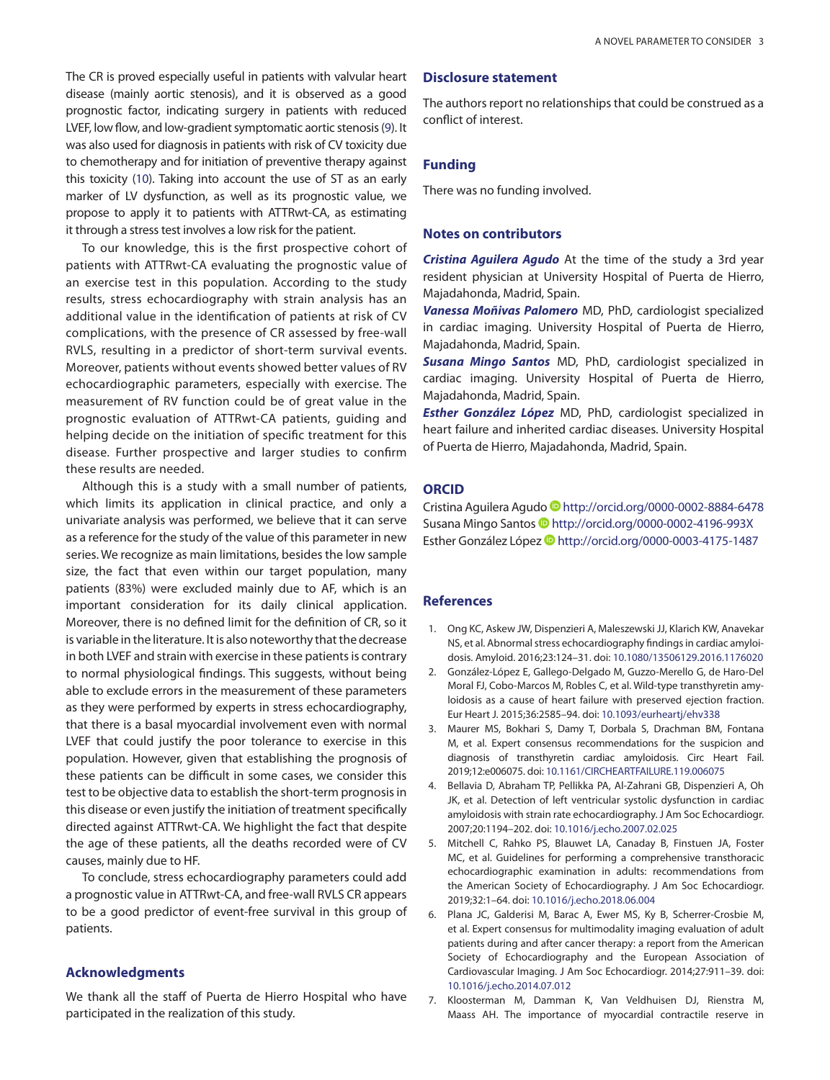<span id="page-2-7"></span>The CR is proved especially useful in patients with valvular heart disease (mainly aortic stenosis), and it is observed as a good prognostic factor, indicating surgery in patients with reduced LVEF, low flow, and low-gradient symptomatic aortic stenosis ([9](#page-3-1)). It was also used for diagnosis in patients with risk of CV toxicity due to chemotherapy and for initiation of preventive therapy against this toxicity ([10](#page-3-2)). Taking into account the use of ST as an early marker of LV dysfunction, as well as its prognostic value, we propose to apply it to patients with ATTRwt-CA, as estimating it through a stress test involves a low risk for the patient.

<span id="page-2-8"></span>To our knowledge, this is the first prospective cohort of patients with ATTRwt-CA evaluating the prognostic value of an exercise test in this population. According to the study results, stress echocardiography with strain analysis has an additional value in the identification of patients at risk of CV complications, with the presence of CR assessed by free-wall RVLS, resulting in a predictor of short-term survival events. Moreover, patients without events showed better values of RV echocardiographic parameters, especially with exercise. The measurement of RV function could be of great value in the prognostic evaluation of ATTRwt-CA patients, guiding and helping decide on the initiation of specific treatment for this disease. Further prospective and larger studies to confirm these results are needed.

Although this is a study with a small number of patients, which limits its application in clinical practice, and only a univariate analysis was performed, we believe that it can serve as a reference for the study of the value of this parameter in new series. We recognize as main limitations, besides the low sample size, the fact that even within our target population, many patients (83%) were excluded mainly due to AF, which is an important consideration for its daily clinical application. Moreover, there is no defined limit for the definition of CR, so it is variable in the literature. It is also noteworthy that the decrease in both LVEF and strain with exercise in these patients is contrary to normal physiological findings. This suggests, without being able to exclude errors in the measurement of these parameters as they were performed by experts in stress echocardiography, that there is a basal myocardial involvement even with normal LVEF that could justify the poor tolerance to exercise in this population. However, given that establishing the prognosis of these patients can be difficult in some cases, we consider this test to be objective data to establish the short-term prognosis in this disease or even justify the initiation of treatment specifically directed against ATTRwt-CA. We highlight the fact that despite the age of these patients, all the deaths recorded were of CV causes, mainly due to HF.

To conclude, stress echocardiography parameters could add a prognostic value in ATTRwt-CA, and free-wall RVLS CR appears to be a good predictor of event-free survival in this group of patients.

# **Acknowledgments**

We thank all the staff of Puerta de Hierro Hospital who have participated in the realization of this study.

## **Disclosure statement**

The authors report no relationships that could be construed as a conflict of interest.

# **Funding**

There was no funding involved.

# **Notes on contributors**

*Cristina Aguilera Agudo* At the time of the study a 3rd year resident physician at University Hospital of Puerta de Hierro, Majadahonda, Madrid, Spain.

*Vanessa Moñivas Palomero* MD, PhD, cardiologist specialized in cardiac imaging. University Hospital of Puerta de Hierro, Majadahonda, Madrid, Spain.

*Susana Mingo Santos* MD, PhD, cardiologist specialized in cardiac imaging. University Hospital of Puerta de Hierro, Majadahonda, Madrid, Spain.

*Esther González López* MD, PhD, cardiologist specialized in heart failure and inherited cardiac diseases. University Hospital of Puerta de Hierro, Majadahonda, Madrid, Spain.

#### **ORCID**

Cristina Aguilera Agudo Dhttp://orcid.org/0000-0002-8884-6478 Susana Mingo Santos Dhttp://orcid.org/0000-0002-4196-993X Esther González López Dhttp://orcid.org/0000-0003-4175-1487

## **References**

- <span id="page-2-0"></span>[1.](#page-0-0) Ong KC, Askew JW, Dispenzieri A, Maleszewski JJ, Klarich KW, Anavekar NS, et al. Abnormal stress echocardiography findings in cardiac amyloidosis. Amyloid. 2016;23:124–31. doi: [10.1080/13506129.2016.1176020](http://dx.doi.org/10.1080/13506129.2016.1176020)
- <span id="page-2-1"></span>[2.](#page-0-1) González-López E, Gallego-Delgado M, Guzzo-Merello G, de Haro-Del Moral FJ, Cobo-Marcos M, Robles C, et al. Wild-type transthyretin amyloidosis as a cause of heart failure with preserved ejection fraction. Eur Heart J. 2015;36:2585–94. doi: [10.1093/eurheartj/ehv338](http://dx.doi.org/10.1093/eurheartj/ehv338)
- <span id="page-2-2"></span>[3.](#page-0-2) Maurer MS, Bokhari S, Damy T, Dorbala S, Drachman BM, Fontana M, et al. Expert consensus recommendations for the suspicion and diagnosis of transthyretin cardiac amyloidosis. Circ Heart Fail. 2019;12:e006075. doi: [10.1161/CIRCHEARTFAILURE.119.006075](http://dx.doi.org/10.1161/CIRCHEARTFAILURE.119.006075)
- <span id="page-2-3"></span>[4.](#page-0-3) Bellavia D, Abraham TP, Pellikka PA, Al-Zahrani GB, Dispenzieri A, Oh JK, et al. Detection of left ventricular systolic dysfunction in cardiac amyloidosis with strain rate echocardiography. J Am Soc Echocardiogr. 2007;20:1194–202. doi: [10.1016/j.echo.2007.02.025](http://dx.doi.org/10.1016/j.echo.2007.02.025)
- <span id="page-2-4"></span>[5.](#page-0-4) Mitchell C, Rahko PS, Blauwet LA, Canaday B, Finstuen JA, Foster MC, et al. Guidelines for performing a comprehensive transthoracic echocardiographic examination in adults: recommendations from the American Society of Echocardiography. J Am Soc Echocardiogr. 2019;32:1–64. doi: [10.1016/j.echo.2018.06.004](http://dx.doi.org/10.1016/j.echo.2018.06.004)
- <span id="page-2-5"></span>[6.](#page-1-6) Plana JC, Galderisi M, Barac A, Ewer MS, Ky B, Scherrer-Crosbie M, et al. Expert consensus for multimodality imaging evaluation of adult patients during and after cancer therapy: a report from the American Society of Echocardiography and the European Association of Cardiovascular Imaging. J Am Soc Echocardiogr. 2014;27:911–39. doi: [10.1016/j.echo.2014.07.012](http://dx.doi.org/10.1016/j.echo.2014.07.012)
- <span id="page-2-6"></span>[7.](#page-1-7) Kloosterman M, Damman K, Van Veldhuisen DJ, Rienstra M, Maass AH. The importance of myocardial contractile reserve in